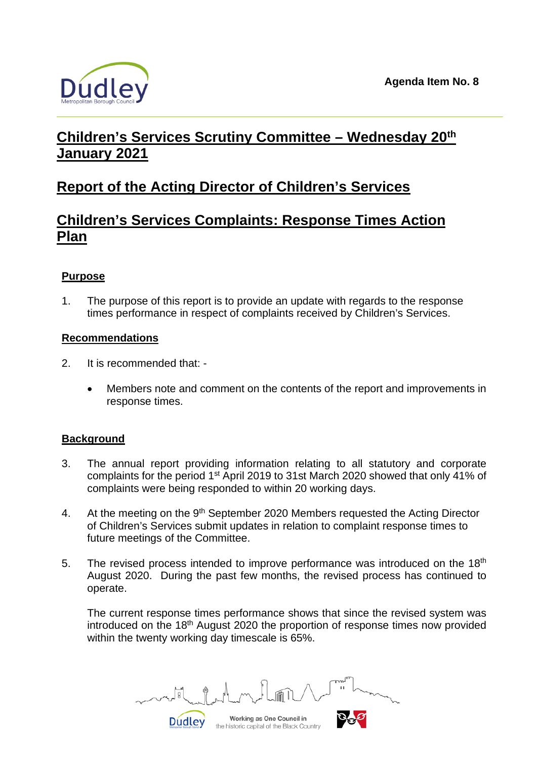

# **Children's Services Scrutiny Committee – Wednesday 20th January 2021**

## **Report of the Acting Director of Children's Services**

## **Children's Services Complaints: Response Times Action Plan**

## **Purpose**

1. The purpose of this report is to provide an update with regards to the response times performance in respect of complaints received by Children's Services.

### **Recommendations**

- 2. It is recommended that:
	- Members note and comment on the contents of the report and improvements in response times.

### **Background**

- 3. The annual report providing information relating to all statutory and corporate complaints for the period 1st April 2019 to 31st March 2020 showed that only 41% of complaints were being responded to within 20 working days.
- 4. At the meeting on the 9<sup>th</sup> September 2020 Members requested the Acting Director of Children's Services submit updates in relation to complaint response times to future meetings of the Committee.
- 5. The revised process intended to improve performance was introduced on the 18<sup>th</sup> August 2020. During the past few months, the revised process has continued to operate.

The current response times performance shows that since the revised system was introduced on the 18<sup>th</sup> August 2020 the proportion of response times now provided within the twenty working day timescale is 65%.

Working as One Council in

the historic capital of the Black Country

**Dudley**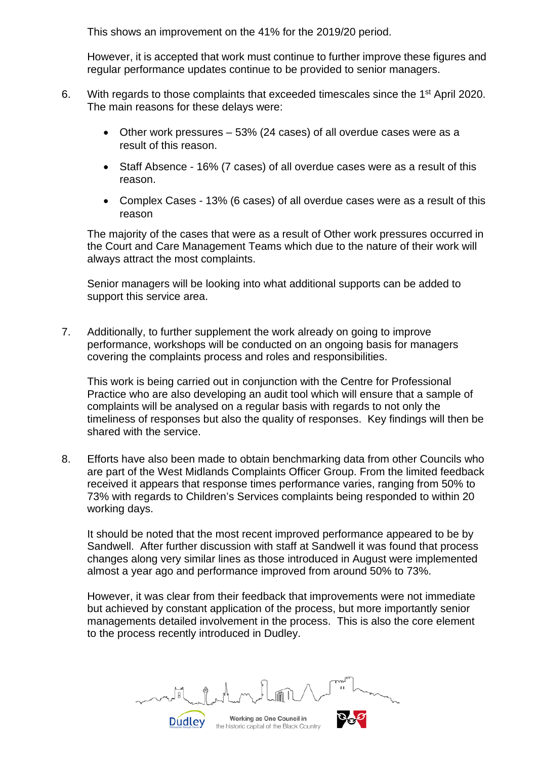This shows an improvement on the 41% for the 2019/20 period.

However, it is accepted that work must continue to further improve these figures and regular performance updates continue to be provided to senior managers.

- 6. With regards to those complaints that exceeded timescales since the 1st April 2020. The main reasons for these delays were:
	- Other work pressures 53% (24 cases) of all overdue cases were as a result of this reason.
	- Staff Absence 16% (7 cases) of all overdue cases were as a result of this reason.
	- Complex Cases 13% (6 cases) of all overdue cases were as a result of this reason

The majority of the cases that were as a result of Other work pressures occurred in the Court and Care Management Teams which due to the nature of their work will always attract the most complaints.

Senior managers will be looking into what additional supports can be added to support this service area.

7. Additionally, to further supplement the work already on going to improve performance, workshops will be conducted on an ongoing basis for managers covering the complaints process and roles and responsibilities.

This work is being carried out in conjunction with the Centre for Professional Practice who are also developing an audit tool which will ensure that a sample of complaints will be analysed on a regular basis with regards to not only the timeliness of responses but also the quality of responses. Key findings will then be shared with the service.

8. Efforts have also been made to obtain benchmarking data from other Councils who are part of the West Midlands Complaints Officer Group. From the limited feedback received it appears that response times performance varies, ranging from 50% to 73% with regards to Children's Services complaints being responded to within 20 working days.

It should be noted that the most recent improved performance appeared to be by Sandwell. After further discussion with staff at Sandwell it was found that process changes along very similar lines as those introduced in August were implemented almost a year ago and performance improved from around 50% to 73%.

However, it was clear from their feedback that improvements were not immediate but achieved by constant application of the process, but more importantly senior managements detailed involvement in the process. This is also the core element to the process recently introduced in Dudley.

Working as One Council in the historic capital of the Black Country

**Dudley**